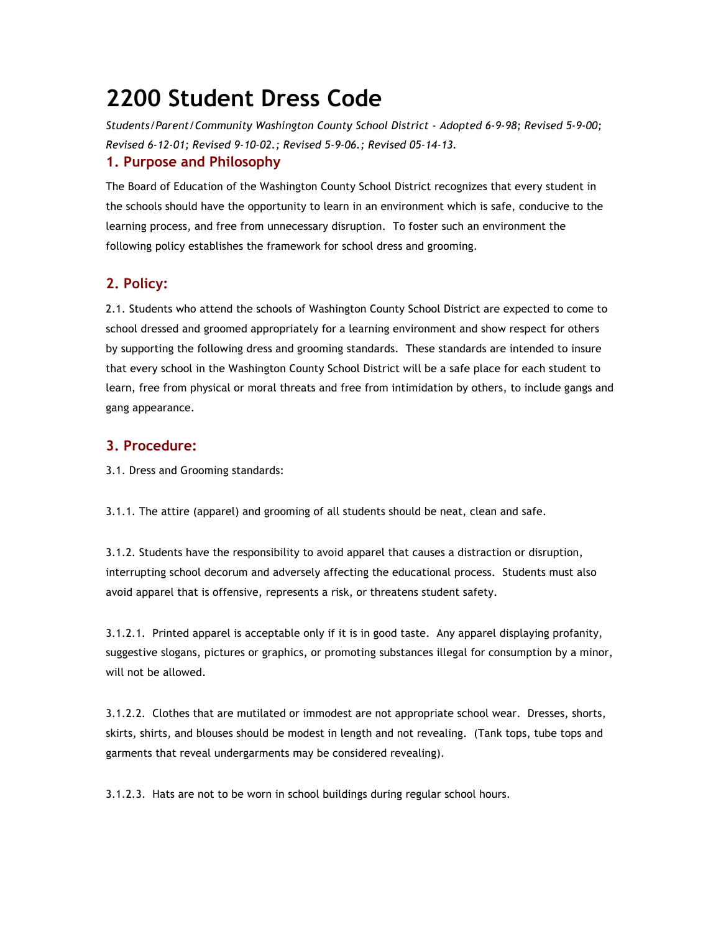## **2200 Student Dress Code**

*Students/Parent/Community Washington County School District - Adopted 6-9-98; Revised 5-9-00; Revised 6-12-01; Revised 9-10-02.; Revised 5-9-06.; Revised 05-14-13.* **1. Purpose and Philosophy**

The Board of Education of the Washington County School District recognizes that every student in the schools should have the opportunity to learn in an environment which is safe, conducive to the learning process, and free from unnecessary disruption. To foster such an environment the following policy establishes the framework for school dress and grooming.

## **2. Policy:**

2.1. Students who attend the schools of Washington County School District are expected to come to school dressed and groomed appropriately for a learning environment and show respect for others by supporting the following dress and grooming standards. These standards are intended to insure that every school in the Washington County School District will be a safe place for each student to learn, free from physical or moral threats and free from intimidation by others, to include gangs and gang appearance.

## **3. Procedure:**

3.1. Dress and Grooming standards:

3.1.1. The attire (apparel) and grooming of all students should be neat, clean and safe.

3.1.2. Students have the responsibility to avoid apparel that causes a distraction or disruption, interrupting school decorum and adversely affecting the educational process. Students must also avoid apparel that is offensive, represents a risk, or threatens student safety.

3.1.2.1. Printed apparel is acceptable only if it is in good taste. Any apparel displaying profanity, suggestive slogans, pictures or graphics, or promoting substances illegal for consumption by a minor, will not be allowed.

3.1.2.2. Clothes that are mutilated or immodest are not appropriate school wear. Dresses, shorts, skirts, shirts, and blouses should be modest in length and not revealing. (Tank tops, tube tops and garments that reveal undergarments may be considered revealing).

3.1.2.3. Hats are not to be worn in school buildings during regular school hours.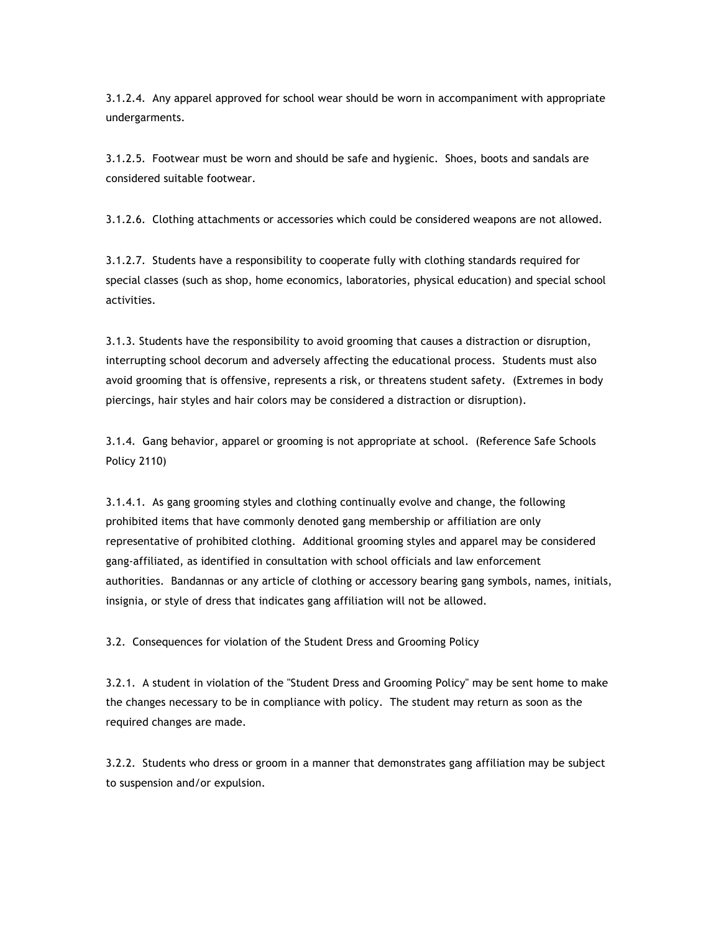3.1.2.4. Any apparel approved for school wear should be worn in accompaniment with appropriate undergarments.

3.1.2.5. Footwear must be worn and should be safe and hygienic. Shoes, boots and sandals are considered suitable footwear.

3.1.2.6. Clothing attachments or accessories which could be considered weapons are not allowed.

3.1.2.7. Students have a responsibility to cooperate fully with clothing standards required for special classes (such as shop, home economics, laboratories, physical education) and special school activities.

3.1.3. Students have the responsibility to avoid grooming that causes a distraction or disruption, interrupting school decorum and adversely affecting the educational process. Students must also avoid grooming that is offensive, represents a risk, or threatens student safety. (Extremes in body piercings, hair styles and hair colors may be considered a distraction or disruption).

3.1.4. Gang behavior, apparel or grooming is not appropriate at school. (Reference Safe Schools Policy 2110)

3.1.4.1. As gang grooming styles and clothing continually evolve and change, the following prohibited items that have commonly denoted gang membership or affiliation are only representative of prohibited clothing. Additional grooming styles and apparel may be considered gang-affiliated, as identified in consultation with school officials and law enforcement authorities. Bandannas or any article of clothing or accessory bearing gang symbols, names, initials, insignia, or style of dress that indicates gang affiliation will not be allowed.

3.2. Consequences for violation of the Student Dress and Grooming Policy

3.2.1. A student in violation of the "Student Dress and Grooming Policy" may be sent home to make the changes necessary to be in compliance with policy. The student may return as soon as the required changes are made.

3.2.2. Students who dress or groom in a manner that demonstrates gang affiliation may be subject to suspension and/or expulsion.